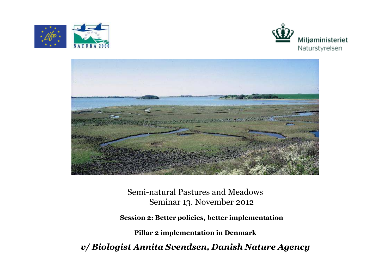





Semi-natural Pastures and Meadows Seminar 13. November 2012

**Session 2: Better policies, better implementation**

**Pillar 2 implementation in Denmark**

*v/ Biologist Annita Svendsen, Danish Nature Agency*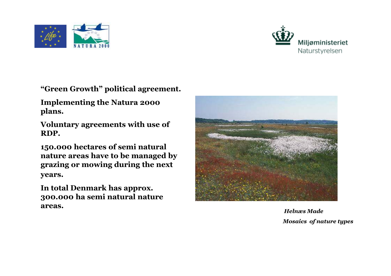



**"Green Growth" political agreement.** 

**Implementing the Natura 2000 plans.** 

**Voluntary agreements with use of RDP.**

**150.000 hectares of semi natural nature areas have to be managed by grazing or mowing during the next years.**

**In total Denmark has approx. 300.000 ha semi natural nature areas.**



*Helnæs MadeMosaics of nature types*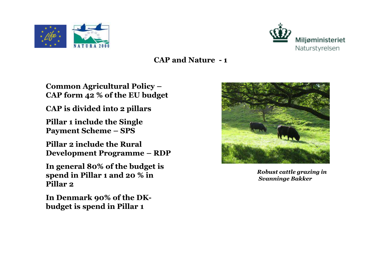



**Common Agricultural Policy –CAP form 42 % of the EU budget**

**CAP is divided into 2 pillars**

**Pillar 1 include the Single Payment Scheme – SPS**

**Pillar 2 include the Rural Development Programme – RDP**

**In general 80% of the budget is spend in Pillar 1 and 20 % in Pillar 2**

**In Denmark 90% of the DKbudget is spend in Pillar 1**



*Robust cattle grazing in Svanninge Bakker*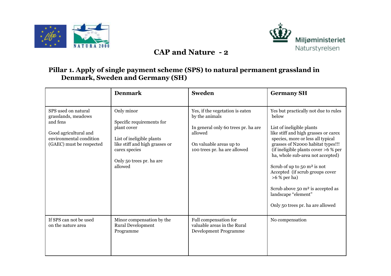



#### **Pillar 1. Apply of single payment scheme (SPS) to natural permanent grassland in Denmark, Sweden and Germany (SH)**

|                                                                                                                                        | <b>Denmark</b>                                                                                                                                                                | <b>Sweden</b>                                                                                                                                                  | <b>Germany SH</b>                                                                                                                                                                                                                                                                                                                                                                                                                                                        |
|----------------------------------------------------------------------------------------------------------------------------------------|-------------------------------------------------------------------------------------------------------------------------------------------------------------------------------|----------------------------------------------------------------------------------------------------------------------------------------------------------------|--------------------------------------------------------------------------------------------------------------------------------------------------------------------------------------------------------------------------------------------------------------------------------------------------------------------------------------------------------------------------------------------------------------------------------------------------------------------------|
| SPS used on natural<br>grasslands, meadows<br>and fens<br>Good agricultural and<br>environmental condition<br>(GAEC) must be respected | Only minor<br>Specific requirements for<br>plant cover<br>List of ineligible plants<br>like stiff and high grasses or<br>carex species<br>Only 50 trees pr. ha are<br>allowed | Yes, if the vegetation is eaten<br>by the animals<br>In general only 60 trees pr. ha are<br>allowed<br>On valuable areas up to<br>100 trees pr. ha are allowed | Yes but practically not due to rules<br>below<br>List of ineligible plants<br>like stiff and high grasses or carex<br>species, more or less all typical<br>grasses of N2000 habitat types!!!<br>(if ineligible plants cover >6 % per<br>ha, whole sub-area not accepted)<br>Scrub of up to 50 $m2$ is not<br>Accepted (if scrub groups cover<br>$>6$ % per ha)<br>Scrub above $50 \text{ m}^2$ is accepted as<br>landscape "element"<br>Only 50 trees pr. ha are allowed |
| If SPS can not be used<br>on the nature area                                                                                           | Minor compensation by the<br>Rural Development<br>Programme                                                                                                                   | Full compensation for<br>valuable areas in the Rural<br>Development Programme                                                                                  | No compensation                                                                                                                                                                                                                                                                                                                                                                                                                                                          |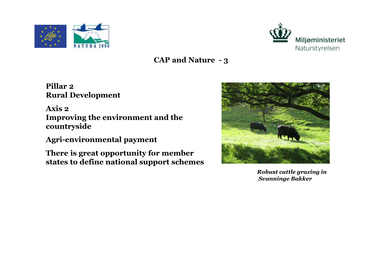



**Pillar 2Rural Development**

**Axis 2 Improving the environment and thecountryside**

**Agri-environmental payment**

**There is great opportunity for member states to define national support schemes**



*Robust cattle grazing in Svanninge Bakker*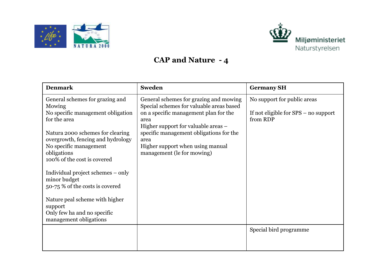



| <b>Denmark</b>                                                                                                                                                                                                                                                                       | <b>Sweden</b>                                                                                                                                                                                                                                                                                   | <b>Germany SH</b>                                                                 |
|--------------------------------------------------------------------------------------------------------------------------------------------------------------------------------------------------------------------------------------------------------------------------------------|-------------------------------------------------------------------------------------------------------------------------------------------------------------------------------------------------------------------------------------------------------------------------------------------------|-----------------------------------------------------------------------------------|
| General schemes for grazing and<br>Mowing<br>No specific management obligation<br>for the area<br>Natura 2000 schemes for clearing<br>overgrowth, fencing and hydrology<br>No specific management<br>obligations<br>100% of the cost is covered<br>Individual project schemes – only | General schemes for grazing and mowing<br>Special schemes for valuable areas based<br>on a specific management plan for the<br>area<br>Higher support for valuable areas –<br>specific management obligations for the<br>area<br>Higher support when using manual<br>management (le for mowing) | No support for public areas<br>If not eligible for $SPS$ – no support<br>from RDP |
| minor budget<br>50-75 % of the costs is covered<br>Nature peal scheme with higher<br>support                                                                                                                                                                                         |                                                                                                                                                                                                                                                                                                 |                                                                                   |
| Only few ha and no specific<br>management obligations                                                                                                                                                                                                                                |                                                                                                                                                                                                                                                                                                 |                                                                                   |
|                                                                                                                                                                                                                                                                                      |                                                                                                                                                                                                                                                                                                 | Special bird programme                                                            |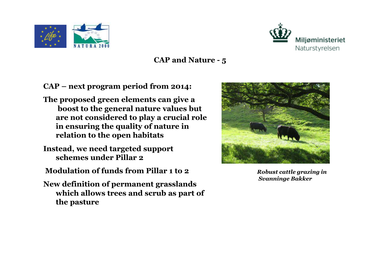



**CAP – next program period from 2014:**

- **The proposed green elements can give a boost to the general nature values but are not considered to play a crucial role in ensuring the quality of nature in relation to the open habitats**
- **Instead, we need targeted support schemes under Pillar 2**
- **Modulation of funds from Pillar 1 to 2**
- **New definition of permanent grasslands which allows trees and scrub as part of the pasture**



*Robust cattle grazing in Svanninge Bakker*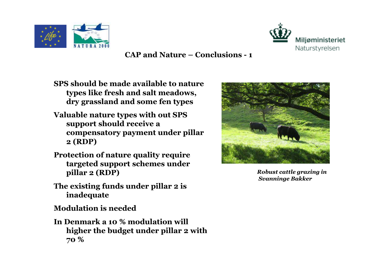



**CAP and Nature – Conclusions - <sup>1</sup>**

- **SPS should be made available to nature types like fresh and salt meadows, dry grassland and some fen types**
- **Valuable nature types with out SPS support should receive a compensatory payment under pillar 2 (RDP)**
- **Protection of nature quality require targeted support schemes under pillar 2 (RDP)**
- **The existing funds under pillar 2 is inadequate**

**Modulation is needed**

**In Denmark a 10 % modulation will higher the budget under pillar 2 with 70 %**



*Robust cattle grazing in Svanninge Bakker*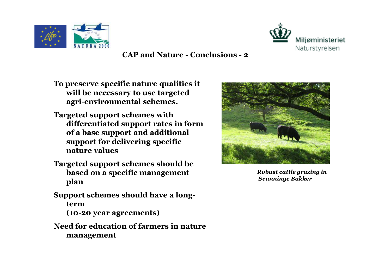



**CAP and Nature - Conclusions - <sup>2</sup>**

- **To preserve specific nature qualities it will be necessary to use targeted agri-environmental schemes.**
- **Targeted support schemes with differentiated support rates in form of a base support and additional support for delivering specific nature values**
- **Targeted support schemes should be based on a specific management plan**
- **Support schemes should have a longterm (10-20 year agreements)**
- **Need for education of farmers in nature management**



*Robust cattle grazing in Svanninge Bakker*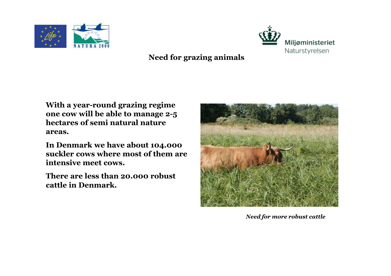



### **Need for grazing animals**

**With a year-round grazing regime one cow will be able to manage 2-5 hectares of semi natural nature areas.** 

**In Denmark we have about 104.000 suckler cows where most of them are intensive meet cows.** 

**There are less than 20.000 robust cattle in Denmark.**



*Need for more robust cattle*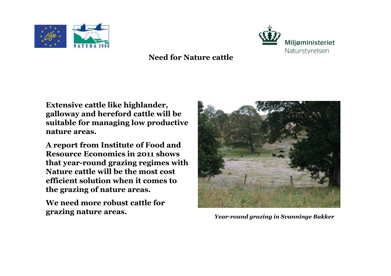



#### **Need for Nature cattle**

**Extensive cattle like highlander, galloway and hereford cattle will be suitable for managing low productive nature areas.** 

**A report from Institute of Food and Resource Economics in 2011 shows that year-round grazing regimes with Nature cattle will be the most cost efficient solution when it comes to the grazing of nature areas.**

**We need more robust cattle for grazing nature areas.**



*Year-round grazing in Svanninge Bakker*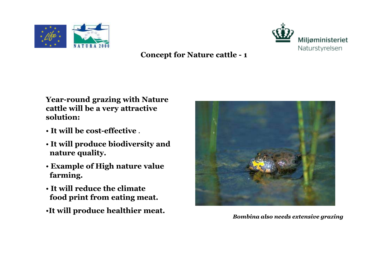



**Year-round grazing with Nature cattle will be a very attractive solution:**

- **It will be cost-effective** .
- **It will produce biodiversity and nature quality.**
- **Example of High nature valuefarming.**
- **It will reduce the climatefood print from eating meat.**
- •**It will produce healthier meat.**



*Bombina also needs extensive grazing*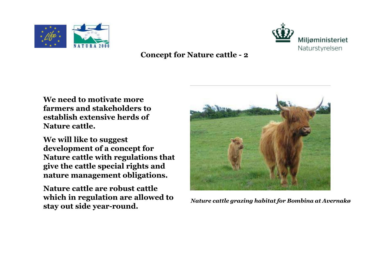



**We need to motivate more farmers and stakeholders to establish extensive herds of Nature cattle.** 

**We will like to suggest development of a concept for Nature cattle with regulations that give the cattle special rights and nature management obligations.** 

**Nature cattle are robust cattle which in regulation are allowed to stay out side year-round.**



*Nature cattle grazing habitat for Bombina at Avernakø*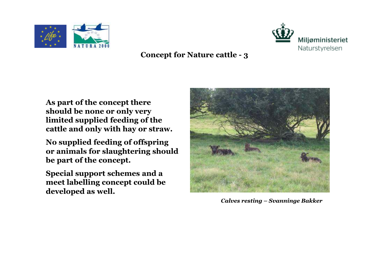



**As part of the concept there should be none or only very limited supplied feeding of the cattle and only with hay or straw.** 

**No supplied feeding of offspring or animals for slaughtering should be part of the concept.**

**Special support schemes and a meet labelling concept could be developed as well.** 



*Calves resting – Svanninge Bakker*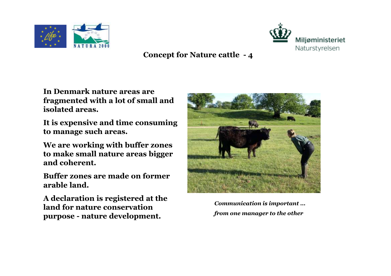



**In Denmark nature areas are fragmented with a lot of small and isolated areas.** 

**It is expensive and time consuming to manage such areas.** 

**We are working with buffer zones to make small nature areas bigger and coherent.**

**Buffer zones are made on former arable land.** 

**A declaration is registered at the land for nature conservation purpose - nature development.**



*Communication is important …from one manager to the other*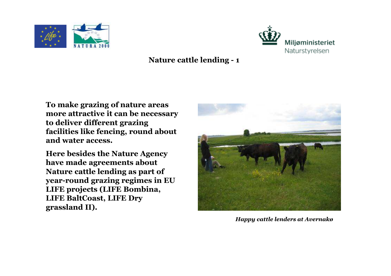



#### **Nature cattle lending - <sup>1</sup>**

**To make grazing of nature areas more attractive it can be necessary to deliver different grazing facilities like fencing, round about and water access.** 

**Here besides the Nature Agency have made agreements about Nature cattle lending as part of year-round grazing regimes in EU LIFE projects (LIFE Bombina, LIFE BaltCoast, LIFE Dry grassland II).** 



*Happy cattle lenders at Avernakø*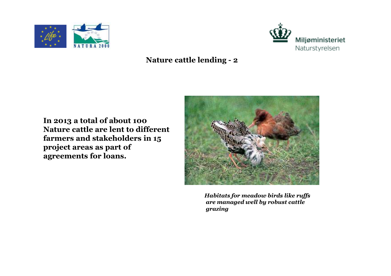



### **Nature cattle lending - <sup>2</sup>**

**In 2013 a total of about 100 Nature cattle are lent to different farmers and stakeholders in 15 project areas as part of agreements for loans.**



*Habitats for meadow birds like ruffs are managed well by robust cattle grazing*